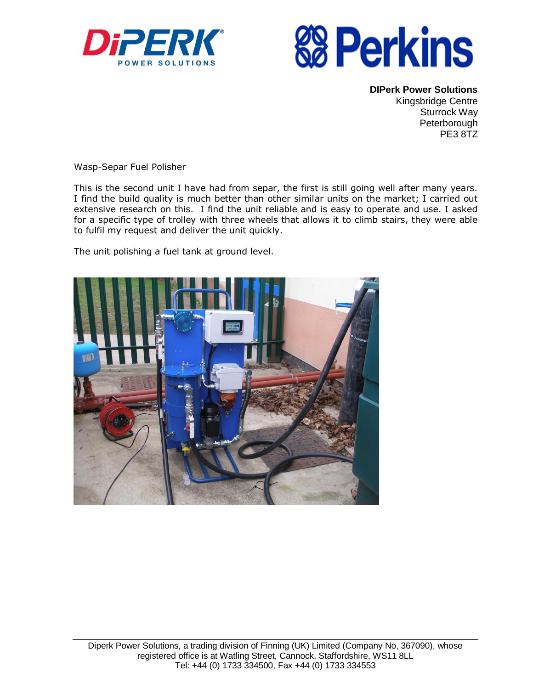



**DIPerk Power Solutions** Kingsbridge Centre Sturrock Way Peterborough PE3 8TZ

Wasp-Separ Fuel Polisher

This is the second unit I have had from separ, the first is still going well after many years. I find the build quality is much better than other similar units on the market; I carried out extensive research on this. I find the unit reliable and is easy to operate and use. I asked for a specific type of trolley with three wheels that allows it to climb stairs, they were able to fulfil my request and deliver the unit quickly.

The unit polishing a fuel tank at ground level.